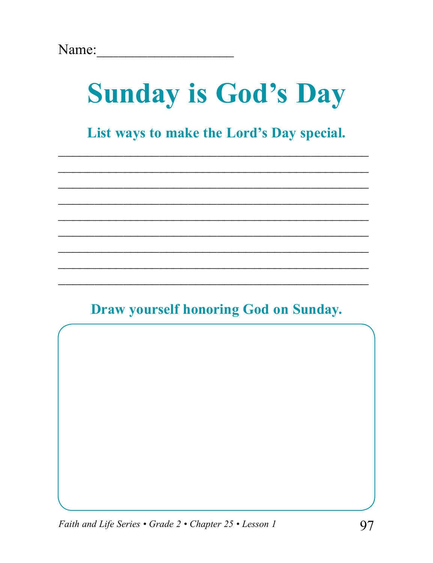# **Sunday is God's Day**

List ways to make the Lord's Day special.

### **Draw yourself honoring God on Sunday.**

Faith and Life Series • Grade 2 • Chapter 25 • Lesson 1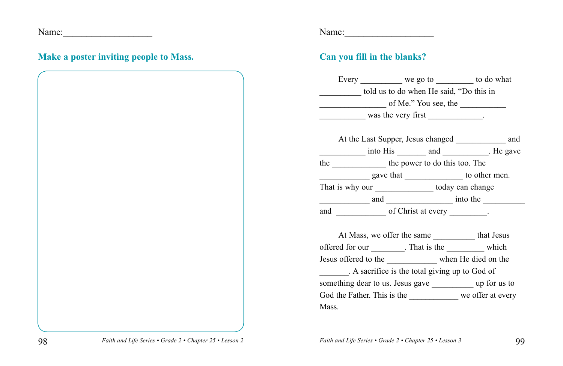Name:\_\_\_\_\_\_\_\_\_\_\_\_\_\_\_\_\_\_\_

### **Make a poster inviting people to Mass.**

Name:\_\_\_\_\_\_\_\_\_\_\_\_\_\_\_\_\_\_\_

### **Can you fill in the blanks?**

|                                                             |  |  | Every ____________ we go to ___________ to do what            |  |
|-------------------------------------------------------------|--|--|---------------------------------------------------------------|--|
| told us to do when He said, "Do this in                     |  |  |                                                               |  |
|                                                             |  |  | $\frac{1}{2}$ of Me." You see, the                            |  |
| $\frac{1}{2}$ was the very first _____________.             |  |  |                                                               |  |
|                                                             |  |  |                                                               |  |
|                                                             |  |  | At the Last Supper, Jesus changed _____________ and           |  |
|                                                             |  |  | into His ________ and _________. He gave                      |  |
| the _______________ the power to do this too. The           |  |  |                                                               |  |
|                                                             |  |  |                                                               |  |
| That is why our _______________ today can change            |  |  |                                                               |  |
|                                                             |  |  |                                                               |  |
|                                                             |  |  |                                                               |  |
|                                                             |  |  |                                                               |  |
|                                                             |  |  | At Mass, we offer the same ______________ that Jesus          |  |
|                                                             |  |  | offered for our _________. That is the ____________ which     |  |
|                                                             |  |  | Jesus offered to the __________ when He died on the           |  |
|                                                             |  |  | A sacrifice is the total giving up to God of                  |  |
|                                                             |  |  | something dear to us. Jesus gave _______________ up for us to |  |
| God the Father. This is the _____________ we offer at every |  |  |                                                               |  |
| Mass.                                                       |  |  |                                                               |  |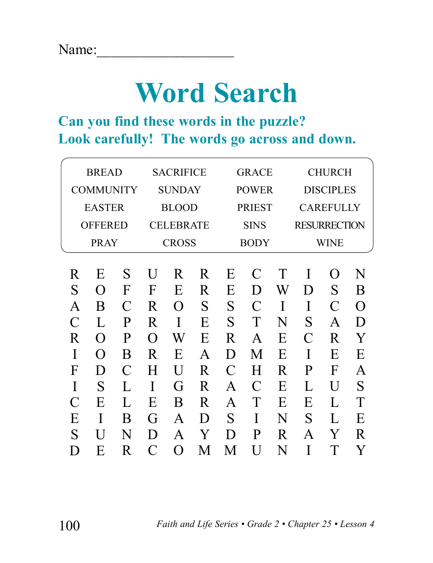## **Word Search**

### **Can you find these words in the puzzle? Look carefully! The words go across and down.**

| <b>BREAD</b>   |                    | <b>SACRIFICE</b> |                | <b>GRACE</b>  |              | <b>CHURCH</b>       |                  |   |             |              |          |
|----------------|--------------------|------------------|----------------|---------------|--------------|---------------------|------------------|---|-------------|--------------|----------|
|                | <b>COMMUNITY</b>   |                  | <b>SUNDAY</b>  |               | <b>POWER</b> |                     | <b>DISCIPLES</b> |   |             |              |          |
| <b>EASTER</b>  |                    | <b>BLOOD</b>     |                | <b>PRIEST</b> |              | <b>CAREFULLY</b>    |                  |   |             |              |          |
| <b>OFFERED</b> |                    | <b>CELEBRATE</b> |                | <b>SINS</b>   |              | <b>RESURRECTION</b> |                  |   |             |              |          |
| <b>PRAY</b>    |                    | <b>CROSS</b>     |                | <b>BODY</b>   |              | WINE                |                  |   |             |              |          |
|                |                    |                  |                |               |              |                     |                  |   |             |              |          |
| R              | E                  | S                | U              | R.            | R            | E                   | C                | T | I           | $\Omega$     | N        |
| S              | $\Omega$           | F                | F              | E             | R            | E                   | D                | W | D           | S            | B        |
| A              | B                  | C                | R              | $\Omega$      | S            | S                   | $\overline{C}$   | I | I           | $\mathcal C$ | $\Omega$ |
| $\mathcal C$   | L                  | P                | R              | I             | E            | S                   | Т                | N | S           | $\mathsf{A}$ | D        |
| R              | $\left( \ \right)$ | P                | $\Omega$       | W             | Е            | R                   | A                | E | $\mathsf C$ | R            | Y        |
|                | $\left( \ \right)$ | B                | R              | E             | A            | D                   | M                | E | I           | E            | E        |
| F              | D                  | $\mathsf{C}$     | H              | U             | R            | $\mathcal C$        | H                | R | P           | F            | A        |
| I              | S                  | L                |                | G             | R            | A                   |                  | E | L           | U            | S        |
| $\mathcal C$   | E                  | $\mathbf{L}$     | Е              | B             | R            | A                   |                  | E | Е           | L            | T        |
| E              |                    | B                | G              | A             | D            | S                   |                  | N | S           | L            | Е        |
| S              |                    | N                | D              | A             | Y            | D                   | P                | R | A           | Y            | R        |
| $\mathsf{D}$   | E                  | R                | $\overline{C}$ | ∩             | M            | M                   |                  | N |             |              | Y        |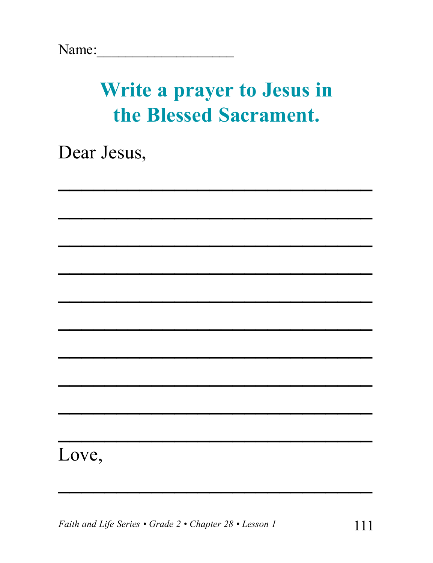## Write a prayer to Jesus in the Blessed Sacrament.

Dear Jesus,

### Love,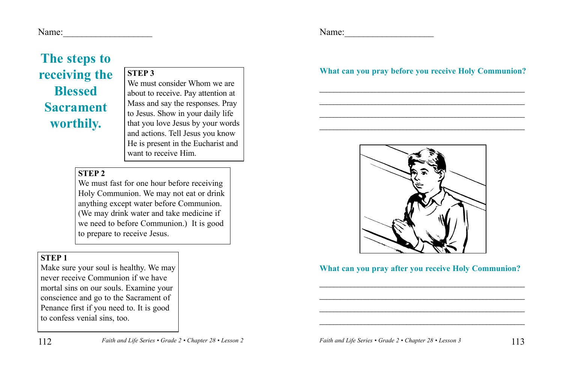Name:

## **The steps to receiving the Blessed Sacrament worthily.**

**STEP 3** We must consider Whom we are about to receive. Pay attention at Mass and say the responses. Pray to Jesus. Show in your daily life that you love Jesus by your words and actions. Tell Jesus you know He is present in the Eucharist and want to receive Him.

### **STEP 2**

We must fast for one hour before receiving Holy Communion. We may not eat or drink anything except water before Communion. (We may drink water and take medicine if we need to before Communion.) It is good to prepare to receive Jesus.

### **STEP 1**

112

Make sure your soul is healthy. We may never receive Communion if we have mortal sins on our souls. Examine your conscience and go to the Sacrament of Penance first if you need to. It is good to confess venial sins, too.

Name:

### **What can you pray before you receive Holy Communion?**

\_\_\_\_\_\_\_\_\_\_\_\_\_\_\_\_\_\_\_\_\_\_\_\_\_\_\_\_\_\_\_\_\_\_\_\_\_\_\_\_\_\_\_\_\_\_\_\_\_\_\_\_\_\_\_\_\_\_\_

\_\_\_\_\_\_\_\_\_\_\_\_\_\_\_\_\_\_\_\_\_\_\_\_\_\_\_\_\_\_\_\_\_\_\_\_\_\_\_\_\_\_\_\_\_\_\_\_\_\_\_\_\_\_\_\_\_\_\_

\_\_\_\_\_\_\_\_\_\_\_\_\_\_\_\_\_\_\_\_\_\_\_\_\_\_\_\_\_\_\_\_\_\_\_\_\_\_\_\_\_\_\_\_\_\_\_\_\_\_\_\_\_\_\_\_\_\_\_

\_\_\_\_\_\_\_\_\_\_\_\_\_\_\_\_\_\_\_\_\_\_\_\_\_\_\_\_\_\_\_\_\_\_\_\_\_\_\_\_\_\_\_\_\_\_\_\_\_\_\_\_\_\_\_\_\_\_\_



#### **What can you pray after you receive Holy Communion?**

\_\_\_\_\_\_\_\_\_\_\_\_\_\_\_\_\_\_\_\_\_\_\_\_\_\_\_\_\_\_\_\_\_\_\_\_\_\_\_\_\_\_\_\_\_\_\_\_\_\_\_\_\_\_\_\_\_\_\_

\_\_\_\_\_\_\_\_\_\_\_\_\_\_\_\_\_\_\_\_\_\_\_\_\_\_\_\_\_\_\_\_\_\_\_\_\_\_\_\_\_\_\_\_\_\_\_\_\_\_\_\_\_\_\_\_\_\_\_

\_\_\_\_\_\_\_\_\_\_\_\_\_\_\_\_\_\_\_\_\_\_\_\_\_\_\_\_\_\_\_\_\_\_\_\_\_\_\_\_\_\_\_\_\_\_\_\_\_\_\_\_\_\_\_\_\_\_\_

\_\_\_\_\_\_\_\_\_\_\_\_\_\_\_\_\_\_\_\_\_\_\_\_\_\_\_\_\_\_\_\_\_\_\_\_\_\_\_\_\_\_\_\_\_\_\_\_\_\_\_\_\_\_\_\_\_\_\_